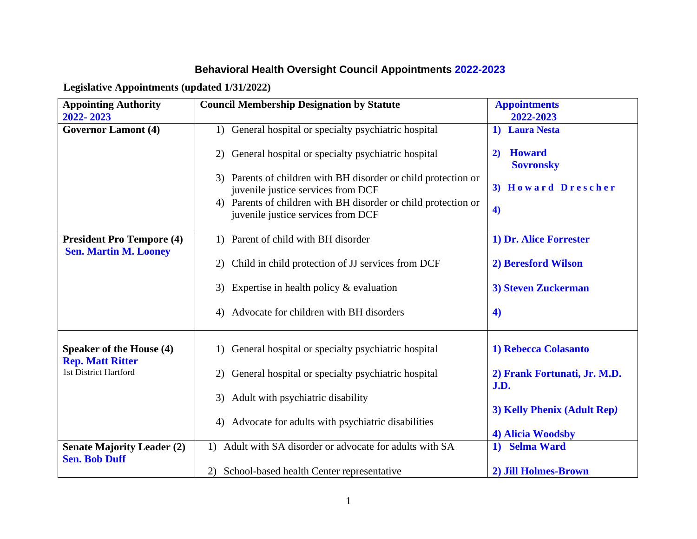## **Behavioral Health Oversight Council Appointments 2022-2023**

**Legislative Appointments (updated 1/31/2022)**

| <b>Appointing Authority</b>       | <b>Council Membership Designation by Statute</b>                                      | <b>Appointments</b>          |
|-----------------------------------|---------------------------------------------------------------------------------------|------------------------------|
| 2022-2023                         |                                                                                       | 2022-2023                    |
| <b>Governor Lamont (4)</b>        | General hospital or specialty psychiatric hospital<br>1)                              | 1) Laura Nesta               |
|                                   |                                                                                       |                              |
|                                   | General hospital or specialty psychiatric hospital<br>2)                              | <b>Howard</b><br>2)          |
|                                   |                                                                                       | <b>Sovronsky</b>             |
|                                   | Parents of children with BH disorder or child protection or<br>3)                     |                              |
|                                   | juvenile justice services from DCF                                                    | 3) Howard Drescher           |
|                                   | 4) Parents of children with BH disorder or child protection or                        | $\blacktriangleleft$         |
|                                   | juvenile justice services from DCF                                                    |                              |
|                                   |                                                                                       |                              |
| <b>President Pro Tempore (4)</b>  | 1) Parent of child with BH disorder                                                   | 1) Dr. Alice Forrester       |
| <b>Sen. Martin M. Looney</b>      |                                                                                       |                              |
|                                   | Child in child protection of JJ services from DCF<br>2)                               | 2) Beresford Wilson          |
|                                   | 3)                                                                                    | 3) Steven Zuckerman          |
|                                   | Expertise in health policy & evaluation                                               |                              |
|                                   | Advocate for children with BH disorders<br>4)                                         | $\blacktriangleleft$         |
|                                   |                                                                                       |                              |
|                                   |                                                                                       |                              |
| <b>Speaker of the House (4)</b>   | General hospital or specialty psychiatric hospital<br>$\left( \frac{1}{2} \right)$    | 1) Rebecca Colasanto         |
| <b>Rep. Matt Ritter</b>           |                                                                                       |                              |
| 1st District Hartford             | General hospital or specialty psychiatric hospital<br>(2)                             | 2) Frank Fortunati, Jr. M.D. |
|                                   |                                                                                       | J.D.                         |
|                                   | Adult with psychiatric disability<br>3)                                               |                              |
|                                   |                                                                                       | 3) Kelly Phenix (Adult Rep)  |
|                                   | Advocate for adults with psychiatric disabilities<br>4)                               |                              |
|                                   |                                                                                       | 4) Alicia Woodsby            |
| <b>Senate Majority Leader (2)</b> | Adult with SA disorder or advocate for adults with SA<br>$\left( \frac{1}{2} \right)$ | 1) Selma Ward                |
| <b>Sen. Bob Duff</b>              |                                                                                       |                              |
|                                   | 2) School-based health Center representative                                          | 2) Jill Holmes-Brown         |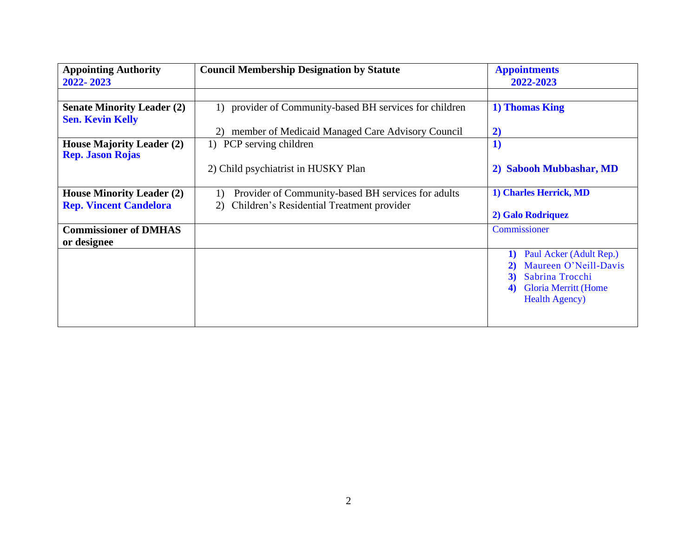| <b>Appointing Authority</b>                                 | <b>Council Membership Designation by Statute</b>           | <b>Appointments</b>               |
|-------------------------------------------------------------|------------------------------------------------------------|-----------------------------------|
| 2022-2023                                                   |                                                            | 2022-2023                         |
|                                                             |                                                            |                                   |
| <b>Senate Minority Leader (2)</b>                           | provider of Community-based BH services for children<br>1) | 1) Thomas King                    |
| <b>Sen. Kevin Kelly</b>                                     |                                                            |                                   |
|                                                             | member of Medicaid Managed Care Advisory Council<br>2)     | $\mathbf{2})$                     |
| <b>House Majority Leader (2)</b><br><b>Rep. Jason Rojas</b> | 1) PCP serving children                                    | 1)                                |
|                                                             | 2) Child psychiatrist in HUSKY Plan                        | <b>Sabooh Mubbashar, MD</b><br>2) |
| <b>House Minority Leader (2)</b>                            | Provider of Community-based BH services for adults<br>1)   | 1) Charles Herrick, MD            |
| <b>Rep. Vincent Candelora</b>                               | Children's Residential Treatment provider<br>2)            |                                   |
|                                                             |                                                            | 2) Galo Rodriquez                 |
| <b>Commissioner of DMHAS</b><br>or designee                 |                                                            | Commissioner                      |
|                                                             |                                                            | Paul Acker (Adult Rep.)<br>1)     |
|                                                             |                                                            | Maureen O'Neill-Davis             |
|                                                             |                                                            | Sabrina Trocchi<br>3)             |
|                                                             |                                                            | <b>Gloria Merritt (Home</b><br>4) |
|                                                             |                                                            | <b>Health Agency</b> )            |
|                                                             |                                                            |                                   |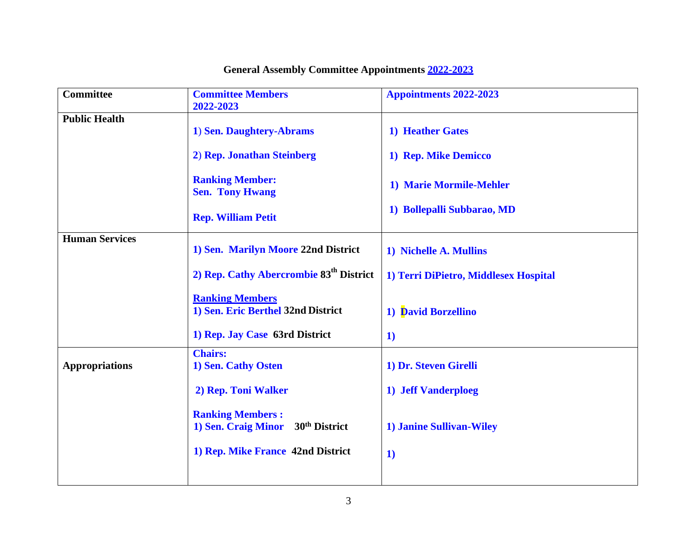| <b>Committee</b>      | <b>Committee Members</b>                            | Appointments 2022-2023                |
|-----------------------|-----------------------------------------------------|---------------------------------------|
|                       | 2022-2023                                           |                                       |
|                       |                                                     |                                       |
| <b>Public Health</b>  |                                                     |                                       |
|                       | 1) Sen. Daughtery-Abrams                            | 1) Heather Gates                      |
|                       |                                                     |                                       |
|                       |                                                     |                                       |
|                       | 2) Rep. Jonathan Steinberg                          | 1) Rep. Mike Demicco                  |
|                       |                                                     |                                       |
|                       |                                                     |                                       |
|                       | <b>Ranking Member:</b>                              | 1) Marie Mormile-Mehler               |
|                       | <b>Sen. Tony Hwang</b>                              |                                       |
|                       |                                                     |                                       |
|                       |                                                     | 1) Bollepalli Subbarao, MD            |
|                       | <b>Rep. William Petit</b>                           |                                       |
|                       |                                                     |                                       |
| <b>Human Services</b> |                                                     |                                       |
|                       | 1) Sen. Marilyn Moore 22nd District                 | 1) Nichelle A. Mullins                |
|                       |                                                     |                                       |
|                       |                                                     |                                       |
|                       | 2) Rep. Cathy Abercrombie 83 <sup>th</sup> District | 1) Terri DiPietro, Middlesex Hospital |
|                       |                                                     |                                       |
|                       | <b>Ranking Members</b>                              |                                       |
|                       |                                                     |                                       |
|                       | 1) Sen. Eric Berthel 32nd District                  | 1) David Borzellino                   |
|                       |                                                     |                                       |
|                       | 1) Rep. Jay Case 63rd District                      |                                       |
|                       |                                                     | $\bf{1}$                              |
|                       | <b>Chairs:</b>                                      |                                       |
|                       |                                                     |                                       |
| <b>Appropriations</b> | 1) Sen. Cathy Osten                                 | 1) Dr. Steven Girelli                 |
|                       |                                                     |                                       |
|                       | 2) Rep. Toni Walker                                 | 1) Jeff Vanderploeg                   |
|                       |                                                     |                                       |
|                       |                                                     |                                       |
|                       | <b>Ranking Members:</b>                             |                                       |
|                       | 1) Sen. Craig Minor<br>30 <sup>th</sup> District    | 1) Janine Sullivan-Wiley              |
|                       |                                                     |                                       |
|                       |                                                     |                                       |
|                       | 1) Rep. Mike France 42nd District                   | $\mathbf{1}$                          |
|                       |                                                     |                                       |
|                       |                                                     |                                       |
|                       |                                                     |                                       |

# **General Assembly Committee Appointments 2022-2023**